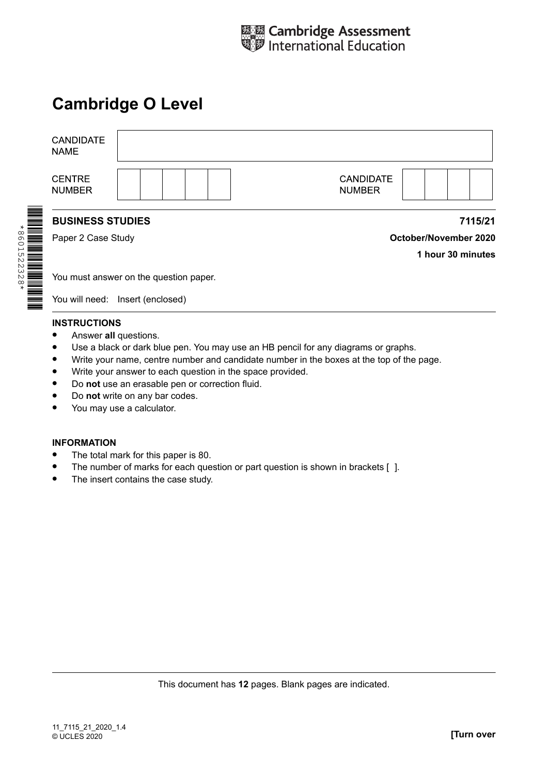

# **Cambridge O Level**

| <b>CANDIDATE</b><br><b>NAME</b>    |                                        |                                   |
|------------------------------------|----------------------------------------|-----------------------------------|
| <b>CENTRE</b><br><b>NUMBER</b>     |                                        | <b>CANDIDATE</b><br><b>NUMBER</b> |
| <b>BUSINESS STUDIES</b><br>7115/21 |                                        |                                   |
| Paper 2 Case Study                 |                                        | October/November 2020             |
|                                    |                                        | 1 hour 30 minutes                 |
|                                    | You must answer on the question paper. |                                   |
| You will need:                     | Insert (enclosed)                      |                                   |

#### **INSTRUCTIONS**

- **•** Answer **all** questions.
- **•** Use a black or dark blue pen. You may use an HB pencil for any diagrams or graphs.<br>• Write your name, centre number and candidate number in the boxes at the top of the
- **•** Write your name, centre number and candidate number in the boxes at the top of the page.
- **•** Write your answer to each question in the space provided.
- **•** Do **not** use an erasable pen or correction fluid.
- **•** Do **not** write on any bar codes.<br>• You may use a calculator
- **•** You may use a calculator.

#### **INFORMATION**

- **•** The total mark for this paper is 80.
- The number of marks for each question or part question is shown in brackets [ ].<br>• The insert contains the case study.
- **•** The insert contains the case study.

This document has **12** pages. Blank pages are indicated.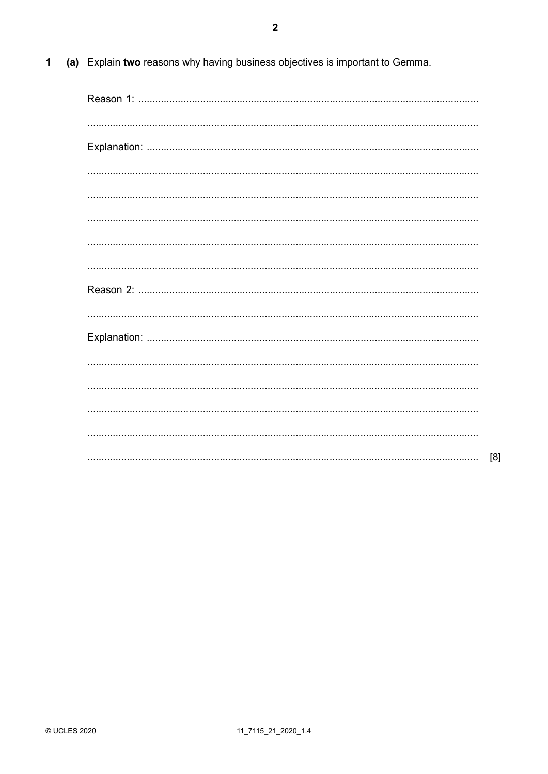(a) Explain two reasons why having business objectives is important to Gemma.  $\mathbf 1$ 

| [8] |
|-----|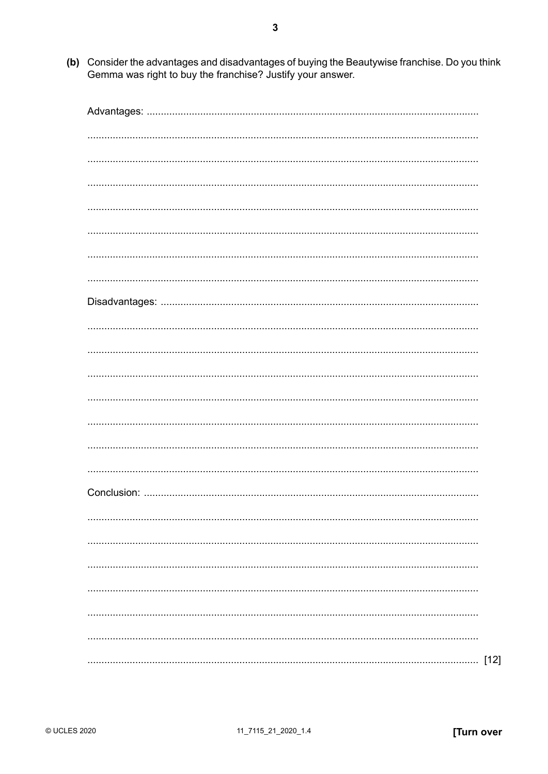(b) Consider the advantages and disadvantages of buying the Beautywise franchise. Do you think Gemma was right to buy the franchise? Justify your answer.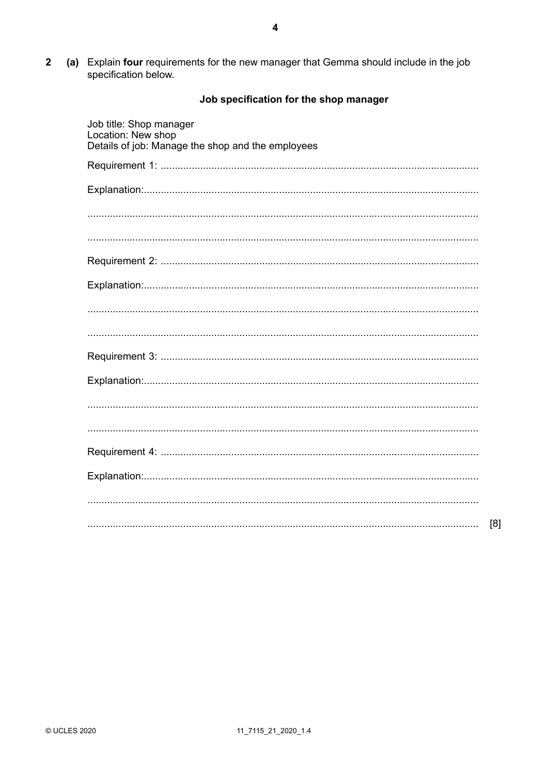(a) Explain four requirements for the new manager that Gemma should include in the job specification below.  $\overline{\mathbf{2}}$ 

Job specification for the shop manager

| Job title: Shop manager<br>Location: New shop<br>Details of job: Manage the shop and the employees |     |
|----------------------------------------------------------------------------------------------------|-----|
|                                                                                                    |     |
|                                                                                                    |     |
|                                                                                                    |     |
|                                                                                                    |     |
|                                                                                                    |     |
|                                                                                                    |     |
|                                                                                                    |     |
|                                                                                                    |     |
|                                                                                                    |     |
|                                                                                                    |     |
|                                                                                                    |     |
|                                                                                                    |     |
|                                                                                                    |     |
|                                                                                                    |     |
|                                                                                                    |     |
|                                                                                                    | [8] |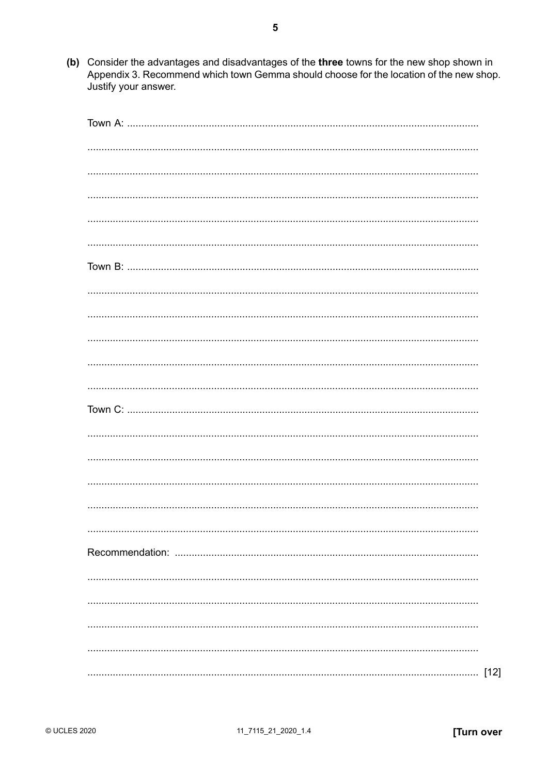(b) Consider the advantages and disadvantages of the three towns for the new shop shown in Appendix 3. Recommend which town Gemma should choose for the location of the new shop. Justify your answer.

| Town A: |  |
|---------|--|
|         |  |
|         |  |
|         |  |
|         |  |
|         |  |
|         |  |
|         |  |
|         |  |
|         |  |
|         |  |
|         |  |
|         |  |
|         |  |
|         |  |
|         |  |
|         |  |
|         |  |
|         |  |
|         |  |
|         |  |
|         |  |
|         |  |
|         |  |
|         |  |
|         |  |
|         |  |
| .       |  |
|         |  |
|         |  |
|         |  |
|         |  |
|         |  |
|         |  |
|         |  |
|         |  |
|         |  |
|         |  |
|         |  |
|         |  |
|         |  |
|         |  |
|         |  |
|         |  |
|         |  |
|         |  |
|         |  |
|         |  |
|         |  |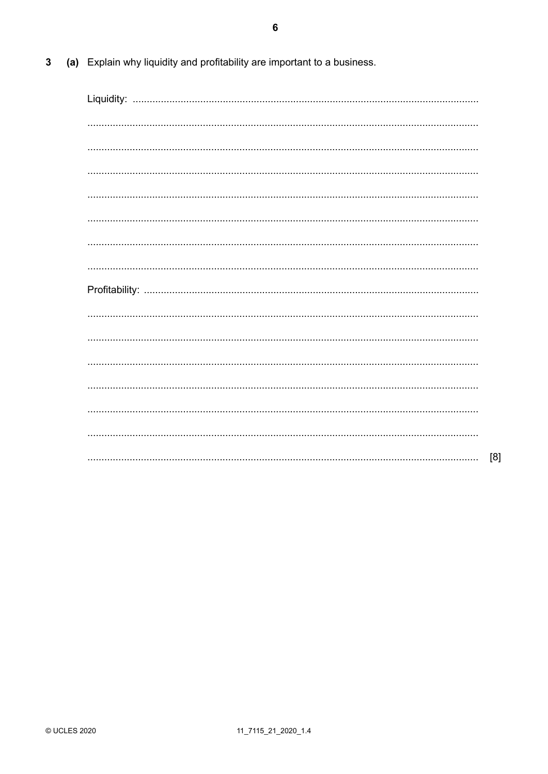$6\phantom{a}$ 

(a) Explain why liquidity and profitability are important to a business.  $\overline{\mathbf{3}}$ 

| [8] |
|-----|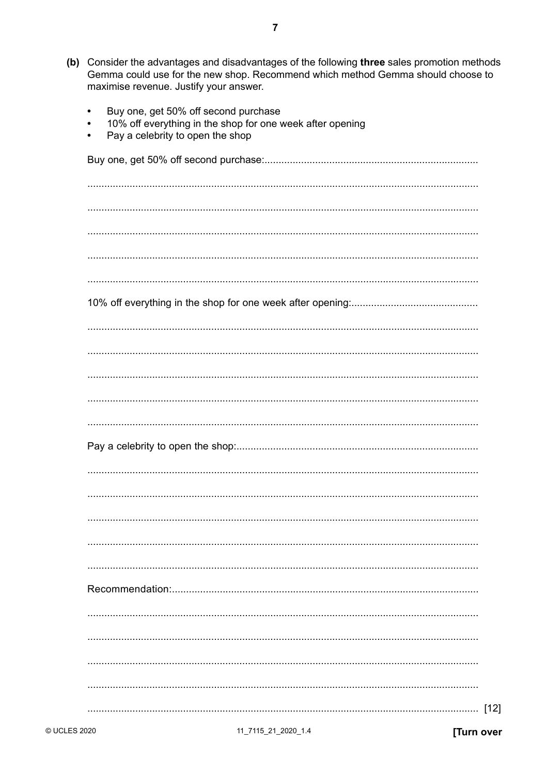- (b) Consider the advantages and disadvantages of the following three sales promotion methods Gemma could use for the new shop. Recommend which method Gemma should choose to maximise revenue. Justify your answer.
	- Buy one, get 50% off second purchase  $\bullet$
	- 10% off everything in the shop for one week after opening
	- Pay a celebrity to open the shop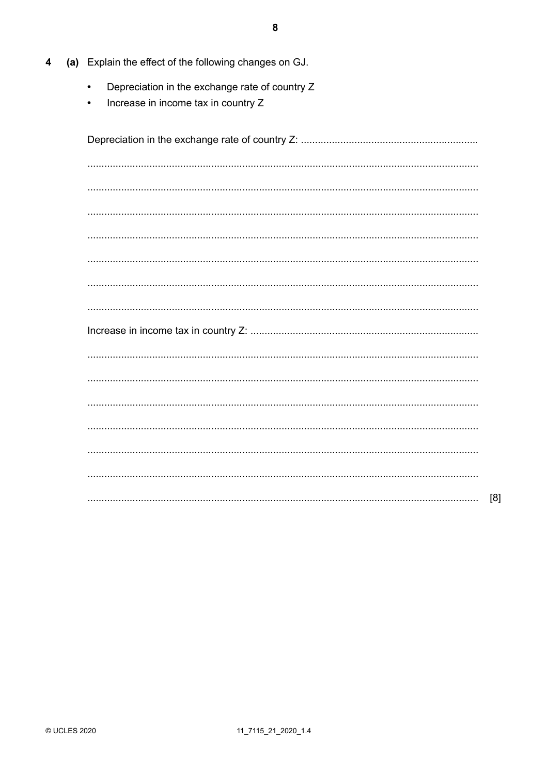| Depreciation in the exchange rate of country Z |     |
|------------------------------------------------|-----|
| Increase in income tax in country Z            |     |
|                                                |     |
|                                                |     |
|                                                |     |
|                                                |     |
|                                                |     |
|                                                |     |
|                                                |     |
|                                                |     |
|                                                |     |
|                                                |     |
|                                                |     |
|                                                |     |
|                                                |     |
|                                                |     |
|                                                |     |
|                                                |     |
|                                                | [8] |

(a) Explain the effect of the following changes on GJ.

 $\overline{\mathbf{4}}$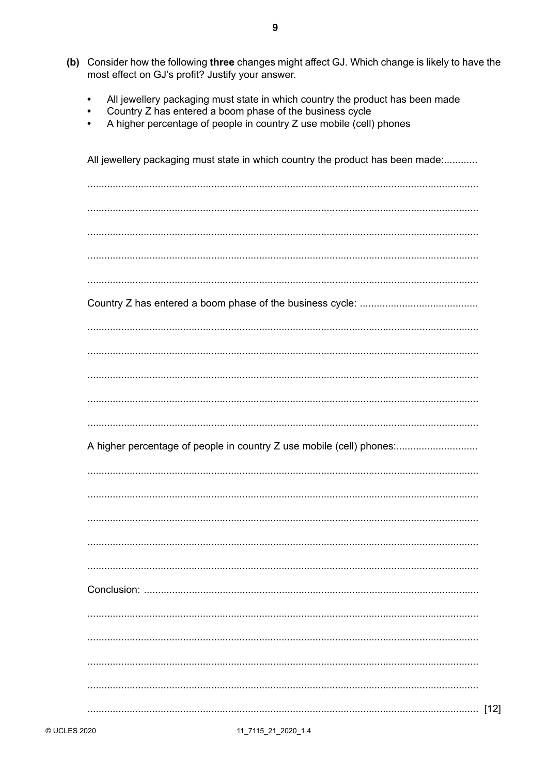- (b) Consider how the following three changes might affect GJ. Which change is likely to have the most effect on GJ's profit? Justify your answer.
	- All jewellery packaging must state in which country the product has been made  $\bullet$
	- Country Z has entered a boom phase of the business cycle  $\bullet$
	- A higher percentage of people in country Z use mobile (cell) phones

All jewellery packaging must state in which country the product has been made:............ A higher percentage of people in country Z use mobile (cell) phones:...............................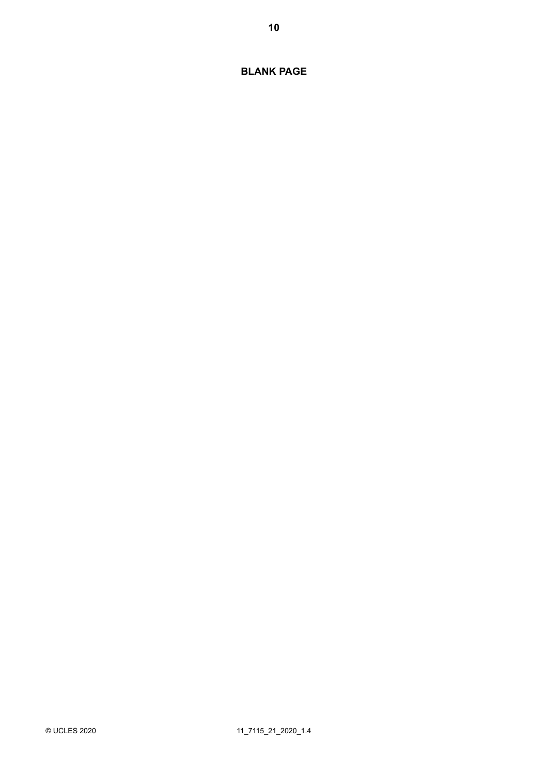## **BLANK PAGE**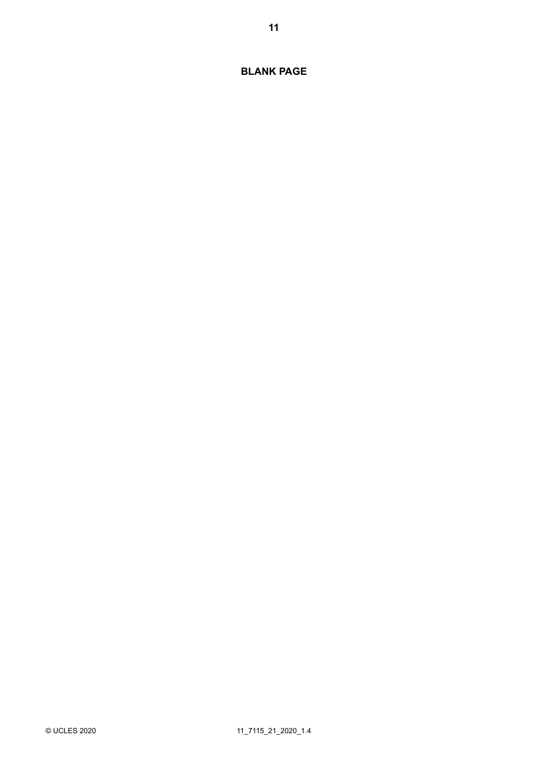## **BLANK PAGE**